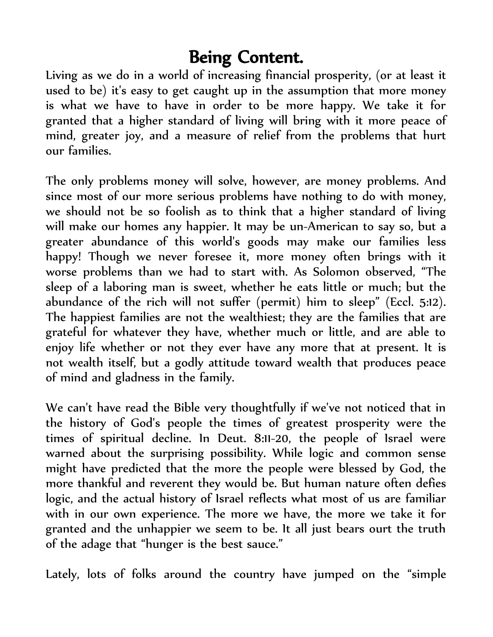## Being Content.

Living as we do in a world of increasing financial prosperity, (or at least it used to be) it's easy to get caught up in the assumption that more money is what we have to have in order to be more happy. We take it for granted that a higher standard of living will bring with it more peace of mind, greater joy, and a measure of relief from the problems that hurt our families.

The only problems money will solve, however, are money problems. And since most of our more serious problems have nothing to do with money, we should not be so foolish as to think that a higher standard of living will make our homes any happier. It may be un-American to say so, but a greater abundance of this world's goods may make our families less happy! Though we never foresee it, more money often brings with it worse problems than we had to start with. As Solomon observed, "The sleep of a laboring man is sweet, whether he eats little or much; but the abundance of the rich will not suffer (permit) him to sleep" (Eccl. 5:12). The happiest families are not the wealthiest; they are the families that are grateful for whatever they have, whether much or little, and are able to enjoy life whether or not they ever have any more that at present. It is not wealth itself, but a godly attitude toward wealth that produces peace of mind and gladness in the family.

We can't have read the Bible very thoughtfully if we've not noticed that in the history of God's people the times of greatest prosperity were the times of spiritual decline. In Deut. 8:11-20, the people of Israel were warned about the surprising possibility. While logic and common sense might have predicted that the more the people were blessed by God, the more thankful and reverent they would be. But human nature often defies logic, and the actual history of Israel reflects what most of us are familiar with in our own experience. The more we have, the more we take it for granted and the unhappier we seem to be. It all just bears ourt the truth of the adage that "hunger is the best sauce."

Lately, lots of folks around the country have jumped on the "simple